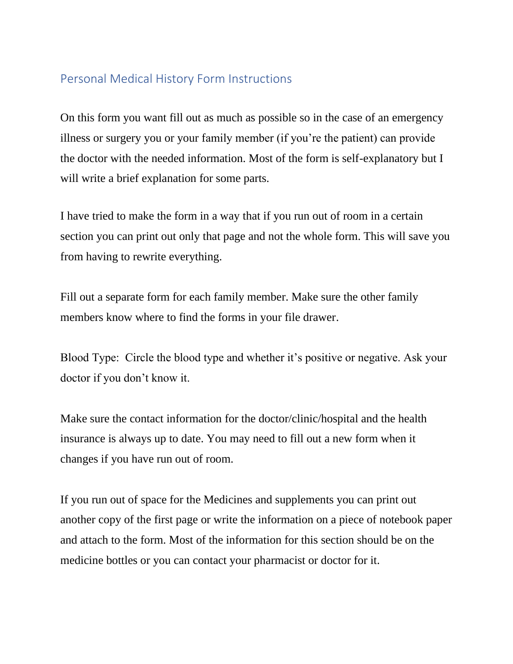## Personal Medical History Form Instructions

On this form you want fill out as much as possible so in the case of an emergency illness or surgery you or your family member (if you're the patient) can provide the doctor with the needed information. Most of the form is self-explanatory but I will write a brief explanation for some parts.

I have tried to make the form in a way that if you run out of room in a certain section you can print out only that page and not the whole form. This will save you from having to rewrite everything.

Fill out a separate form for each family member. Make sure the other family members know where to find the forms in your file drawer.

Blood Type: Circle the blood type and whether it's positive or negative. Ask your doctor if you don't know it.

Make sure the contact information for the doctor/clinic/hospital and the health insurance is always up to date. You may need to fill out a new form when it changes if you have run out of room.

If you run out of space for the Medicines and supplements you can print out another copy of the first page or write the information on a piece of notebook paper and attach to the form. Most of the information for this section should be on the medicine bottles or you can contact your pharmacist or doctor for it.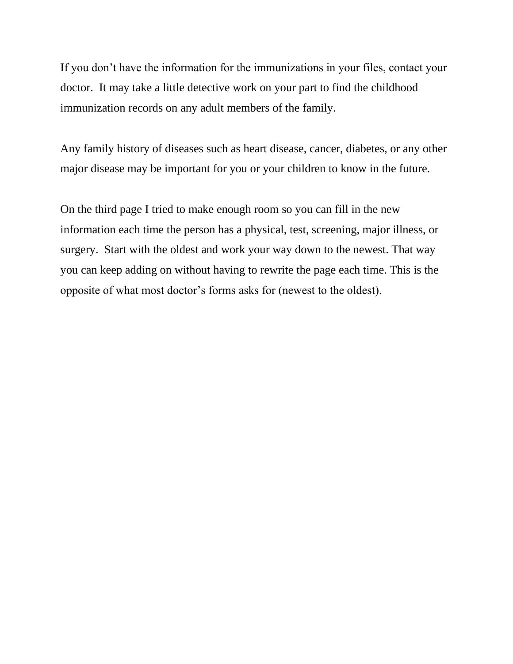If you don't have the information for the immunizations in your files, contact your doctor. It may take a little detective work on your part to find the childhood immunization records on any adult members of the family.

Any family history of diseases such as heart disease, cancer, diabetes, or any other major disease may be important for you or your children to know in the future.

On the third page I tried to make enough room so you can fill in the new information each time the person has a physical, test, screening, major illness, or surgery. Start with the oldest and work your way down to the newest. That way you can keep adding on without having to rewrite the page each time. This is the opposite of what most doctor's forms asks for (newest to the oldest).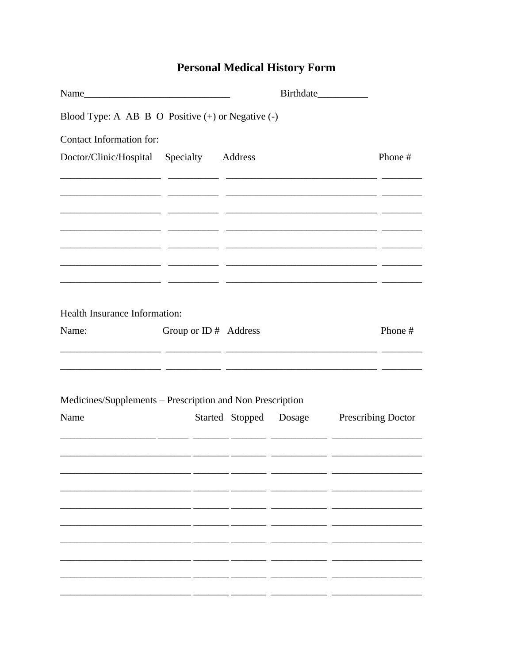## **Personal Medical History Form**

| Blood Type: A AB B O Positive $(+)$ or Negative $(-)$                                                                          |                                                                                                                       |  |                                                         |  |                           |
|--------------------------------------------------------------------------------------------------------------------------------|-----------------------------------------------------------------------------------------------------------------------|--|---------------------------------------------------------|--|---------------------------|
| Contact Information for:                                                                                                       |                                                                                                                       |  |                                                         |  |                           |
| Doctor/Clinic/Hospital Specialty Address                                                                                       |                                                                                                                       |  |                                                         |  | Phone #                   |
| <u> 1999 - Jan James James, personal personal eta provincia eta provincia eta provincia eta provincia eta provin</u>           |                                                                                                                       |  | <u> 1990 - Jan James James Santa Alemania (j. 1901)</u> |  |                           |
|                                                                                                                                |                                                                                                                       |  |                                                         |  |                           |
|                                                                                                                                |                                                                                                                       |  |                                                         |  |                           |
| Health Insurance Information:                                                                                                  |                                                                                                                       |  |                                                         |  |                           |
| Name:<br><u> 1990 - Jan James James, francuski politik, matematik, matematik, matematik, matematik, matematik, matematik, </u> | Group or ID # Address                                                                                                 |  |                                                         |  | Phone #                   |
| Medicines/Supplements - Prescription and Non Prescription                                                                      |                                                                                                                       |  |                                                         |  |                           |
| Name                                                                                                                           |                                                                                                                       |  | Started Stopped Dosage                                  |  | <b>Prescribing Doctor</b> |
|                                                                                                                                | <u> 1989 - Andrea Andrea Andrea Andrea Andrea Andrea Andrea Andrea Andrea Andrea Andrea Andrea Andrea Andrea Andr</u> |  |                                                         |  |                           |
|                                                                                                                                |                                                                                                                       |  |                                                         |  |                           |
|                                                                                                                                |                                                                                                                       |  |                                                         |  |                           |
|                                                                                                                                |                                                                                                                       |  |                                                         |  |                           |
|                                                                                                                                |                                                                                                                       |  |                                                         |  |                           |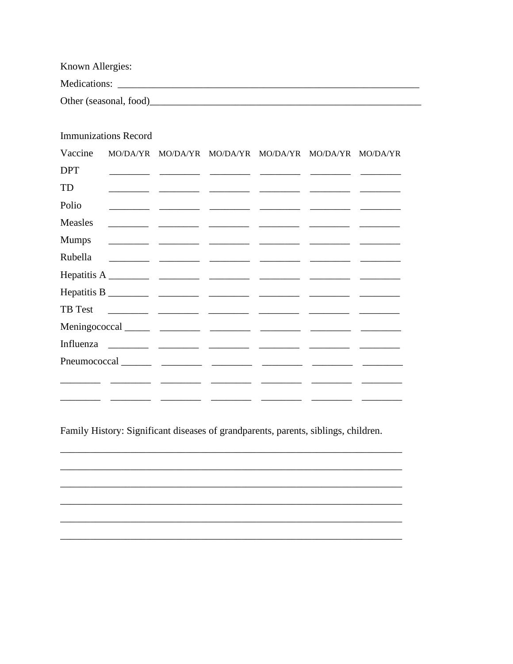Known Allergies: Medications: 

**Immunizations Record** Vaccine MO/DA/YR MO/DA/YR MO/DA/YR MO/DA/YR MO/DA/YR MO/DA/YR **DPT** TD Polio Measles  $\sim$  $\frac{1}{2} \left( \frac{1}{2} \right) \frac{1}{2} \left( \frac{1}{2} \right) \frac{1}{2} \left( \frac{1}{2} \right) \frac{1}{2} \left( \frac{1}{2} \right) \frac{1}{2} \left( \frac{1}{2} \right) \frac{1}{2} \left( \frac{1}{2} \right) \frac{1}{2} \left( \frac{1}{2} \right) \frac{1}{2} \left( \frac{1}{2} \right) \frac{1}{2} \left( \frac{1}{2} \right) \frac{1}{2} \left( \frac{1}{2} \right) \frac{1}{2} \left( \frac{1}{2} \right)$  $\begin{array}{ccccccccc} \textbf{1} & \textbf{1} & \textbf{1} & \textbf{1} & \textbf{1} & \textbf{1} & \textbf{1} & \textbf{1} & \textbf{1} & \textbf{1} & \textbf{1} & \textbf{1} & \textbf{1} & \textbf{1} & \textbf{1} & \textbf{1} & \textbf{1} & \textbf{1} & \textbf{1} & \textbf{1} & \textbf{1} & \textbf{1} & \textbf{1} & \textbf{1} & \textbf{1} & \textbf{1} & \textbf{1} & \textbf{1} & \textbf{1} & \textbf{1} & \$ **Mumps** Rubella TB Test  $\overline{a}$  $\overline{a}$  $\overline{a}$   $\overline{a}$  $\overline{a}$   $\overline{a}$  $\overline{\phantom{a}}$  $\overline{\phantom{a}}$  $\overline{a}$   $\overline{a}$  $\overline{\phantom{a}}$  $\mathbb{R}^2 \times \mathbb{R}^2$ 

Family History: Significant diseases of grandparents, parents, siblings, children.